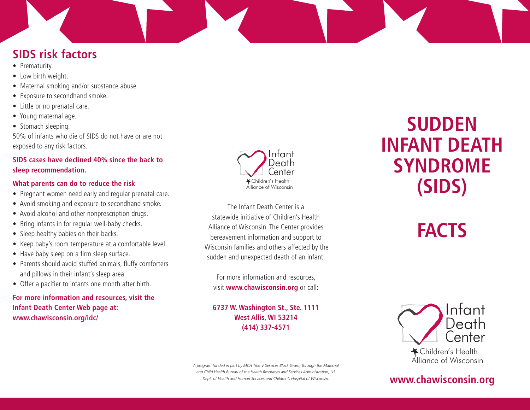## **SIDS risk factors**

- Prematurity.
- Low birth weight.
- Maternal smoking and/or substance abuse.
- Exposure to secondhand smoke.
- Little or no prenatal care.
- Young maternal age.
- Stomach sleeping.

50% of infants who die of SIDS do not have or are not exposed to any risk factors.

### **SIDS cases have declined 40% since the back to sleep recommendation.**

### **What parents can do to reduce the risk**

- Pregnant women need early and regular prenatal care.
- Avoid smoking and exposure to secondhand smoke.
- Avoid alcohol and other nonprescription drugs.
- Bring infants in for regular well-baby checks.
- Sleep healthy babies on their backs.
- Keep baby's room temperature at a comfortable level.
- Have baby sleep on a firm sleep surface.
- Parents should avoid stuffed animals, fluffy comforters and pillows in their infant's sleep area.
- Offer a pacifier to infants one month after birth.

**For more information and resources, visit the Infant Death Center Web page at: www.chawisconsin.org/idc/**



The Infant Death Center is a statewide initiative of Children's Health Alliance of Wisconsin. The Center provides bereavement information and support to Wisconsin families and others affected by the sudden and unexpected death of an infant.

For more information and resources, visit **www.chawisconsin.org** or call:

**6737 W. Washington St., Ste. 1111 West Allis, WI 53214 (414) 337-4571**

*A program funded in part by MCH Title V Services Block Grant, through the Maternal and Child Health Bureau of the Health Resources and Services Administration, US Dept. of Health and Human Services and Children's Hospital of Wisconsin.*

# **SUDDEN INFANT DEATH SYNDROME (SIDS)**

# **FACTS**



## **www.chawisconsin.org**